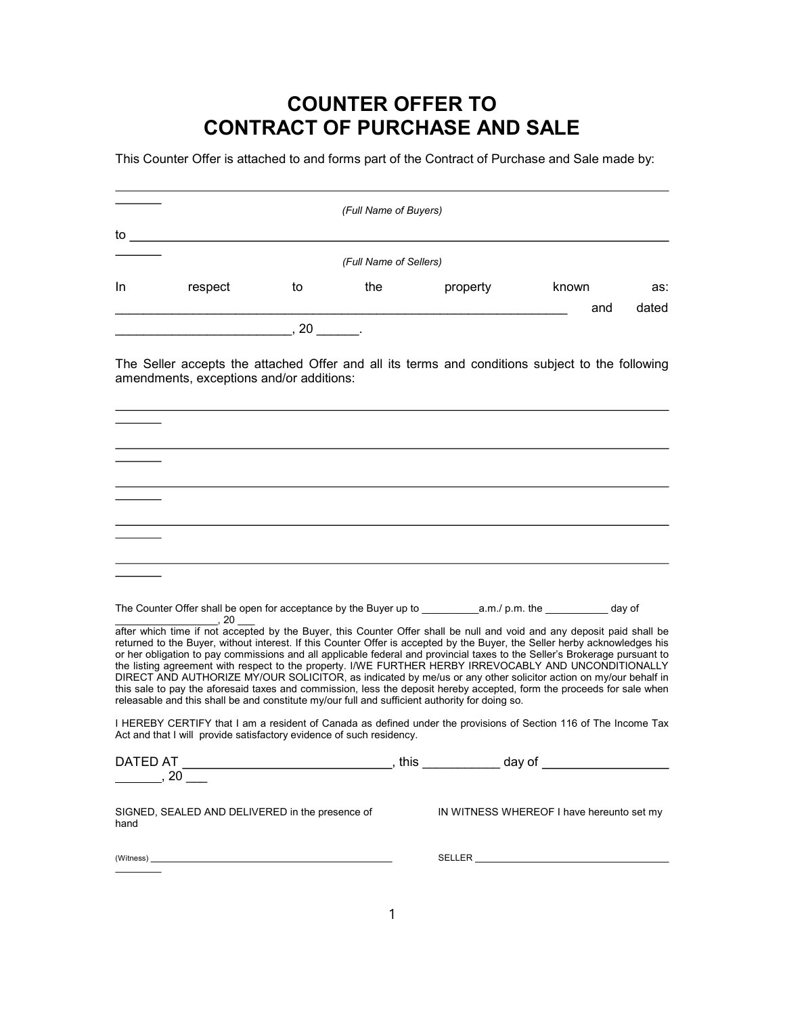## COUNTER OFFER TO CONTRACT OF PURCHASE AND SALE

This Counter Offer is attached to and forms part of the Contract of Purchase and Sale made by:

|           |                                                                                                                                                                                                                                                                                                                                                                                                                                                                                                                                                                                                                                                                                                                                                                                                                                            |    | (Full Name of Buyers)  |                      |                                           |       |
|-----------|--------------------------------------------------------------------------------------------------------------------------------------------------------------------------------------------------------------------------------------------------------------------------------------------------------------------------------------------------------------------------------------------------------------------------------------------------------------------------------------------------------------------------------------------------------------------------------------------------------------------------------------------------------------------------------------------------------------------------------------------------------------------------------------------------------------------------------------------|----|------------------------|----------------------|-------------------------------------------|-------|
| to to     |                                                                                                                                                                                                                                                                                                                                                                                                                                                                                                                                                                                                                                                                                                                                                                                                                                            |    |                        |                      |                                           |       |
|           |                                                                                                                                                                                                                                                                                                                                                                                                                                                                                                                                                                                                                                                                                                                                                                                                                                            |    | (Full Name of Sellers) |                      |                                           |       |
| In.       | respect                                                                                                                                                                                                                                                                                                                                                                                                                                                                                                                                                                                                                                                                                                                                                                                                                                    | to | the                    | property             | known                                     | as:   |
|           |                                                                                                                                                                                                                                                                                                                                                                                                                                                                                                                                                                                                                                                                                                                                                                                                                                            |    |                        |                      | and                                       | dated |
|           | $\sim$ , 20 $\sim$ .                                                                                                                                                                                                                                                                                                                                                                                                                                                                                                                                                                                                                                                                                                                                                                                                                       |    |                        |                      |                                           |       |
|           | The Seller accepts the attached Offer and all its terms and conditions subject to the following<br>amendments, exceptions and/or additions:                                                                                                                                                                                                                                                                                                                                                                                                                                                                                                                                                                                                                                                                                                |    |                        |                      |                                           |       |
|           |                                                                                                                                                                                                                                                                                                                                                                                                                                                                                                                                                                                                                                                                                                                                                                                                                                            |    |                        |                      |                                           |       |
|           |                                                                                                                                                                                                                                                                                                                                                                                                                                                                                                                                                                                                                                                                                                                                                                                                                                            |    |                        |                      |                                           |       |
|           |                                                                                                                                                                                                                                                                                                                                                                                                                                                                                                                                                                                                                                                                                                                                                                                                                                            |    |                        |                      |                                           |       |
|           |                                                                                                                                                                                                                                                                                                                                                                                                                                                                                                                                                                                                                                                                                                                                                                                                                                            |    |                        |                      |                                           |       |
|           |                                                                                                                                                                                                                                                                                                                                                                                                                                                                                                                                                                                                                                                                                                                                                                                                                                            |    |                        |                      |                                           |       |
|           |                                                                                                                                                                                                                                                                                                                                                                                                                                                                                                                                                                                                                                                                                                                                                                                                                                            |    |                        |                      |                                           |       |
|           | , 20                                                                                                                                                                                                                                                                                                                                                                                                                                                                                                                                                                                                                                                                                                                                                                                                                                       |    |                        |                      |                                           |       |
|           | after which time if not accepted by the Buyer, this Counter Offer shall be null and void and any deposit paid shall be<br>returned to the Buyer, without interest. If this Counter Offer is accepted by the Buyer, the Seller herby acknowledges his<br>or her obligation to pay commissions and all applicable federal and provincial taxes to the Seller's Brokerage pursuant to<br>the listing agreement with respect to the property. I/WE FURTHER HERBY IRREVOCABLY AND UNCONDITIONALLY<br>DIRECT AND AUTHORIZE MY/OUR SOLICITOR, as indicated by me/us or any other solicitor action on my/our behalf in<br>this sale to pay the aforesaid taxes and commission, less the deposit hereby accepted, form the proceeds for sale when<br>releasable and this shall be and constitute my/our full and sufficient authority for doing so. |    |                        |                      |                                           |       |
|           | I HEREBY CERTIFY that I am a resident of Canada as defined under the provisions of Section 116 of The Income Tax<br>Act and that I will provide satisfactory evidence of such residency.                                                                                                                                                                                                                                                                                                                                                                                                                                                                                                                                                                                                                                                   |    |                        |                      |                                           |       |
| DATED AT  | 20                                                                                                                                                                                                                                                                                                                                                                                                                                                                                                                                                                                                                                                                                                                                                                                                                                         |    | , this                 | day of               |                                           |       |
| hand      | SIGNED, SEALED AND DELIVERED in the presence of                                                                                                                                                                                                                                                                                                                                                                                                                                                                                                                                                                                                                                                                                                                                                                                            |    |                        |                      | IN WITNESS WHEREOF I have hereunto set my |       |
| (Witness) |                                                                                                                                                                                                                                                                                                                                                                                                                                                                                                                                                                                                                                                                                                                                                                                                                                            |    |                        | SELLER <b>SELLER</b> |                                           |       |